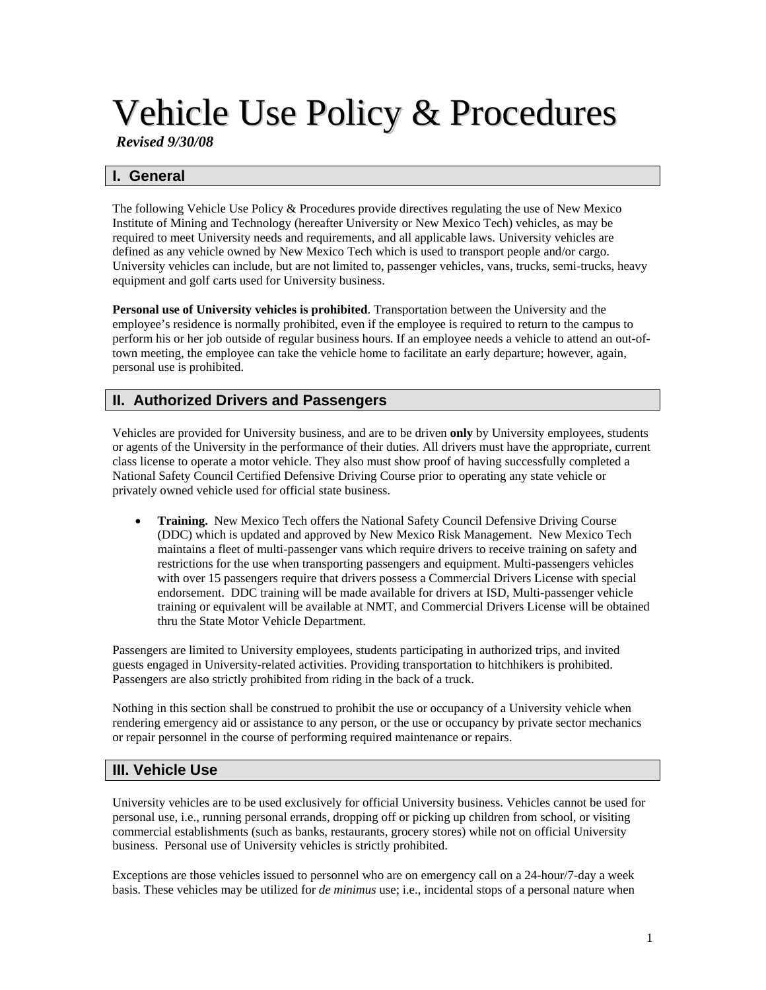# Vehicle Use Policy & Procedures

*Revised 9/30/08* 

# **I. General**

The following Vehicle Use Policy & Procedures provide directives regulating the use of New Mexico Institute of Mining and Technology (hereafter University or New Mexico Tech) vehicles, as may be required to meet University needs and requirements, and all applicable laws. University vehicles are defined as any vehicle owned by New Mexico Tech which is used to transport people and/or cargo. University vehicles can include, but are not limited to, passenger vehicles, vans, trucks, semi-trucks, heavy equipment and golf carts used for University business.

**Personal use of University vehicles is prohibited**. Transportation between the University and the employee's residence is normally prohibited, even if the employee is required to return to the campus to perform his or her job outside of regular business hours. If an employee needs a vehicle to attend an out-oftown meeting, the employee can take the vehicle home to facilitate an early departure; however, again, personal use is prohibited.

# **II. Authorized Drivers and Passengers**

Vehicles are provided for University business, and are to be driven **only** by University employees, students or agents of the University in the performance of their duties. All drivers must have the appropriate, current class license to operate a motor vehicle. They also must show proof of having successfully completed a National Safety Council Certified Defensive Driving Course prior to operating any state vehicle or privately owned vehicle used for official state business.

• **Training.** New Mexico Tech offers the National Safety Council Defensive Driving Course (DDC) which is updated and approved by New Mexico Risk Management. New Mexico Tech maintains a fleet of multi-passenger vans which require drivers to receive training on safety and restrictions for the use when transporting passengers and equipment. Multi-passengers vehicles with over 15 passengers require that drivers possess a Commercial Drivers License with special endorsement. DDC training will be made available for drivers at ISD, Multi-passenger vehicle training or equivalent will be available at NMT, and Commercial Drivers License will be obtained thru the State Motor Vehicle Department.

Passengers are limited to University employees, students participating in authorized trips, and invited guests engaged in University-related activities. Providing transportation to hitchhikers is prohibited. Passengers are also strictly prohibited from riding in the back of a truck.

Nothing in this section shall be construed to prohibit the use or occupancy of a University vehicle when rendering emergency aid or assistance to any person, or the use or occupancy by private sector mechanics or repair personnel in the course of performing required maintenance or repairs.

# **III. Vehicle Use**

University vehicles are to be used exclusively for official University business. Vehicles cannot be used for personal use, i.e., running personal errands, dropping off or picking up children from school, or visiting commercial establishments (such as banks, restaurants, grocery stores) while not on official University business. Personal use of University vehicles is strictly prohibited.

Exceptions are those vehicles issued to personnel who are on emergency call on a 24-hour/7-day a week basis. These vehicles may be utilized for *de minimus* use; i.e., incidental stops of a personal nature when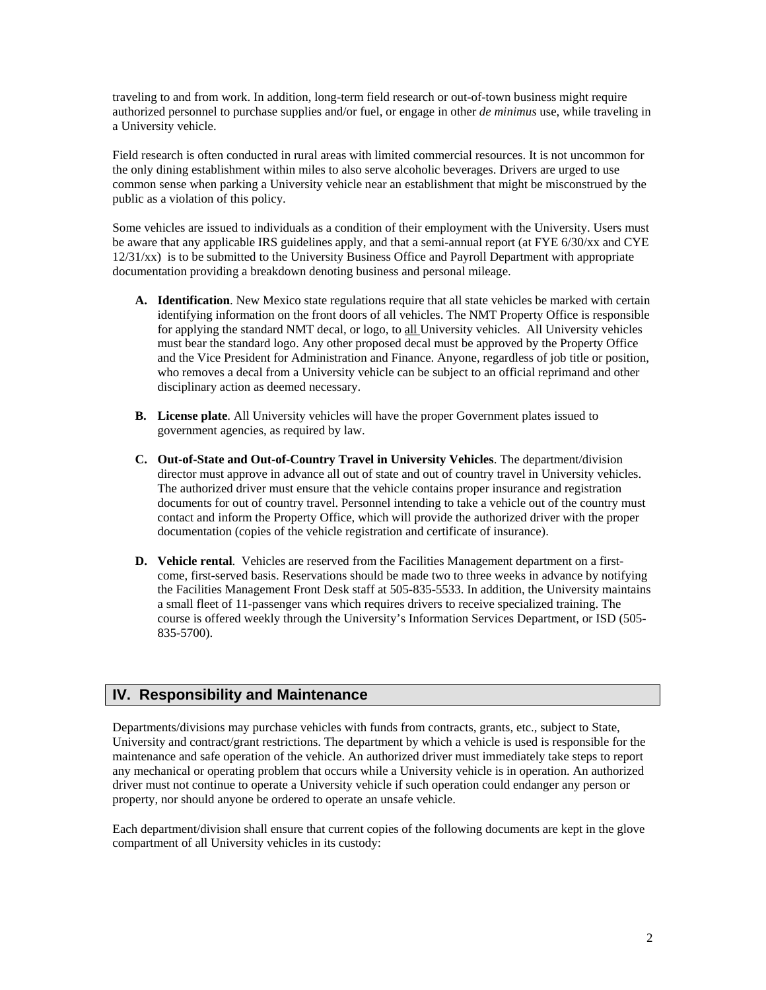traveling to and from work. In addition, long-term field research or out-of-town business might require authorized personnel to purchase supplies and/or fuel, or engage in other *de minimus* use, while traveling in a University vehicle.

Field research is often conducted in rural areas with limited commercial resources. It is not uncommon for the only dining establishment within miles to also serve alcoholic beverages. Drivers are urged to use common sense when parking a University vehicle near an establishment that might be misconstrued by the public as a violation of this policy.

Some vehicles are issued to individuals as a condition of their employment with the University. Users must be aware that any applicable IRS guidelines apply, and that a semi-annual report (at FYE 6/30/xx and CYE 12/31/xx) is to be submitted to the University Business Office and Payroll Department with appropriate documentation providing a breakdown denoting business and personal mileage.

- **A. Identification**. New Mexico state regulations require that all state vehicles be marked with certain identifying information on the front doors of all vehicles. The NMT Property Office is responsible for applying the standard NMT decal, or logo, to all University vehicles. All University vehicles must bear the standard logo. Any other proposed decal must be approved by the Property Office and the Vice President for Administration and Finance. Anyone, regardless of job title or position, who removes a decal from a University vehicle can be subject to an official reprimand and other disciplinary action as deemed necessary.
- **B. License plate**. All University vehicles will have the proper Government plates issued to government agencies, as required by law.
- **C. Out-of-State and Out-of-Country Travel in University Vehicles**. The department/division director must approve in advance all out of state and out of country travel in University vehicles. The authorized driver must ensure that the vehicle contains proper insurance and registration documents for out of country travel. Personnel intending to take a vehicle out of the country must contact and inform the Property Office, which will provide the authorized driver with the proper documentation (copies of the vehicle registration and certificate of insurance).
- **D. Vehicle rental**. Vehicles are reserved from the Facilities Management department on a firstcome, first-served basis. Reservations should be made two to three weeks in advance by notifying the Facilities Management Front Desk staff at 505-835-5533. In addition, the University maintains a small fleet of 11-passenger vans which requires drivers to receive specialized training. The course is offered weekly through the University's Information Services Department, or ISD (505- 835-5700).

# **IV. Responsibility and Maintenance**

Departments/divisions may purchase vehicles with funds from contracts, grants, etc., subject to State, University and contract/grant restrictions. The department by which a vehicle is used is responsible for the maintenance and safe operation of the vehicle. An authorized driver must immediately take steps to report any mechanical or operating problem that occurs while a University vehicle is in operation. An authorized driver must not continue to operate a University vehicle if such operation could endanger any person or property, nor should anyone be ordered to operate an unsafe vehicle.

Each department/division shall ensure that current copies of the following documents are kept in the glove compartment of all University vehicles in its custody: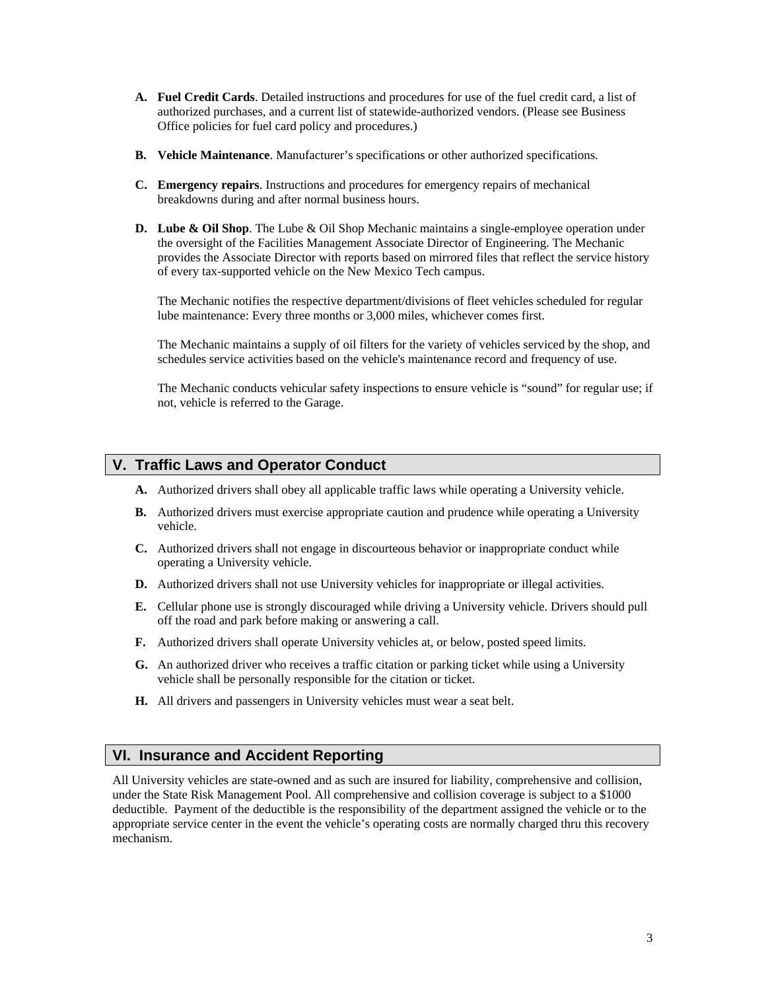- **A. Fuel Credit Cards**. Detailed instructions and procedures for use of the fuel credit card, a list of authorized purchases, and a current list of statewide-authorized vendors. (Please see Business Office policies for fuel card policy and procedures.)
- **B. Vehicle Maintenance**. Manufacturer's specifications or other authorized specifications.
- **C. Emergency repairs**. Instructions and procedures for emergency repairs of mechanical breakdowns during and after normal business hours.
- **D. Lube & Oil Shop**. The Lube & Oil Shop Mechanic maintains a single-employee operation under the oversight of the Facilities Management [Associate Director of Engineering.](http://externalweb.nmt.edu/pplant/engineering.htm) The Mechanic provides the Associate Director with reports based on mirrored files that reflect the service history of every tax-supported vehicle on the New Mexico Tech campus.

 The Mechanic notifies the respective department/divisions of fleet vehicles scheduled for regular lube maintenance: Every three months or 3,000 miles, whichever comes first.

 The Mechanic maintains a supply of oil filters for the variety of vehicles serviced by the shop, and schedules service activities based on the vehicle's maintenance record and frequency of use.

 The Mechanic conducts vehicular safety inspections to ensure vehicle is "sound" for regular use; if not, vehicle is referred to the Garage.

#### **V. Traffic Laws and Operator Conduct**

- **A.** Authorized drivers shall obey all applicable traffic laws while operating a University vehicle.
- **B.** Authorized drivers must exercise appropriate caution and prudence while operating a University vehicle.
- **C.** Authorized drivers shall not engage in discourteous behavior or inappropriate conduct while operating a University vehicle.
- **D.** Authorized drivers shall not use University vehicles for inappropriate or illegal activities.
- **E.** Cellular phone use is strongly discouraged while driving a University vehicle. Drivers should pull off the road and park before making or answering a call.
- **F.** Authorized drivers shall operate University vehicles at, or below, posted speed limits.
- **G.** An authorized driver who receives a traffic citation or parking ticket while using a University vehicle shall be personally responsible for the citation or ticket.
- **H.** All drivers and passengers in University vehicles must wear a seat belt.

## **VI. Insurance and Accident Reporting**

All University vehicles are state-owned and as such are insured for liability, comprehensive and collision, under the State Risk Management Pool. All comprehensive and collision coverage is subject to a \$1000 deductible. Payment of the deductible is the responsibility of the department assigned the vehicle or to the appropriate service center in the event the vehicle's operating costs are normally charged thru this recovery mechanism.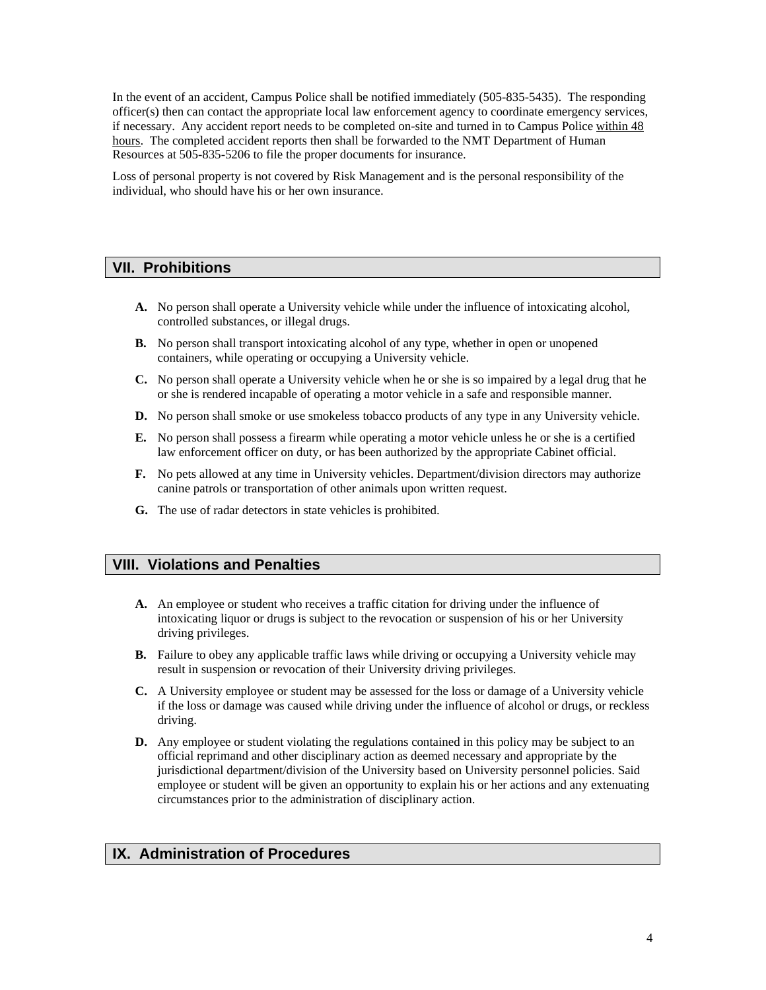In the event of an accident, Campus Police shall be notified immediately (505-835-5435). The responding officer(s) then can contact the appropriate local law enforcement agency to coordinate emergency services, if necessary. Any accident report needs to be completed on-site and turned in to Campus Police within 48 hours. The completed accident reports then shall be forwarded to the NMT Department of Human Resources at 505-835-5206 to file the proper documents for insurance.

Loss of personal property is not covered by Risk Management and is the personal responsibility of the individual, who should have his or her own insurance.

## **VII. Prohibitions**

- **A.** No person shall operate a University vehicle while under the influence of intoxicating alcohol, controlled substances, or illegal drugs.
- **B.** No person shall transport intoxicating alcohol of any type, whether in open or unopened containers, while operating or occupying a University vehicle.
- **C.** No person shall operate a University vehicle when he or she is so impaired by a legal drug that he or she is rendered incapable of operating a motor vehicle in a safe and responsible manner.
- **D.** No person shall smoke or use smokeless tobacco products of any type in any University vehicle.
- **E.** No person shall possess a firearm while operating a motor vehicle unless he or she is a certified law enforcement officer on duty, or has been authorized by the appropriate Cabinet official.
- **F.** No pets allowed at any time in University vehicles. Department/division directors may authorize canine patrols or transportation of other animals upon written request.
- **G.** The use of radar detectors in state vehicles is prohibited.

## **VIII. Violations and Penalties**

- **A.** An employee or student who receives a traffic citation for driving under the influence of intoxicating liquor or drugs is subject to the revocation or suspension of his or her University driving privileges.
- **B.** Failure to obey any applicable traffic laws while driving or occupying a University vehicle may result in suspension or revocation of their University driving privileges.
- **C.** A University employee or student may be assessed for the loss or damage of a University vehicle if the loss or damage was caused while driving under the influence of alcohol or drugs, or reckless driving.
- **D.** Any employee or student violating the regulations contained in this policy may be subject to an official reprimand and other disciplinary action as deemed necessary and appropriate by the jurisdictional department/division of the University based on University personnel policies. Said employee or student will be given an opportunity to explain his or her actions and any extenuating circumstances prior to the administration of disciplinary action.

## **IX. Administration of Procedures**